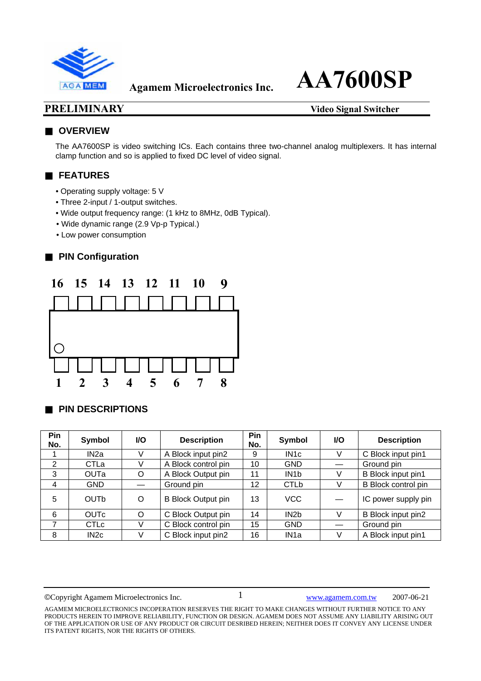

#### **PRELIMINARY** Video Signal Switcher

#### ■ **OVERVIEW**

The AA7600SP is video switching ICs. Each contains three two-channel analog multiplexers. It has internal clamp function and so is applied to fixed DC level of video signal.

### ■ **FEATURES**

- Operating supply voltage: 5 V
- Three 2-input / 1-output switches.
- Wide output frequency range: (1 kHz to 8MHz, 0dB Typical).
- Wide dynamic range (2.9 Vp-p Typical.)
- Low power consumption

### **PIN Configuration**



#### **PIN DESCRIPTIONS**

| <b>Pin</b><br>No. | Symbol            | <b>I/O</b> | <b>Description</b>        | <b>Pin</b><br>No. | Symbol            | VO. | <b>Description</b>  |
|-------------------|-------------------|------------|---------------------------|-------------------|-------------------|-----|---------------------|
|                   | IN2a              |            | A Block input pin2        | 9                 | IN <sub>1</sub> c |     | C Block input pin1  |
| 2                 | CTLa              |            | A Block control pin       | 10                | <b>GND</b>        |     | Ground pin          |
| 3                 | <b>OUTa</b>       | O          | A Block Output pin        | 11                | IN <sub>1</sub> b |     | B Block input pin1  |
| $\overline{4}$    | <b>GND</b>        |            | Ground pin                | 12                | <b>CTLb</b>       |     | B Block control pin |
| 5                 | OUTb              | O          | <b>B Block Output pin</b> | 13                | VCC               |     | IC power supply pin |
| 6                 | <b>OUTc</b>       | O          | C Block Output pin        | 14                | IN <sub>2</sub> b |     | B Block input pin2  |
| 7                 | <b>CTLc</b>       | V          | C Block control pin       | 15                | <b>GND</b>        |     | Ground pin          |
| 8                 | IN <sub>2</sub> c | V          | C Block input pin2        | 16                | IN <sub>1</sub> a | V   | A Block input pin1  |

©Copyright Agamem Microelectronics Inc. www.agamem.com.tw 2007-06-21

AGAMEM MICROELECTRONICS INCOPERATION RESERVES THE RIGHT TO MAKE CHANGES WITHOUT FURTHER NOTICE TO ANY PRODUCTS HEREIN TO IMPROVE RELIABILITY, FUNCTION OR DESIGN. AGAMEM DOES NOT ASSUME ANY LIABILITY ARISING OUT OF THE APPLICATION OR USE OF ANY PRODUCT OR CIRCUIT DESRIBED HEREIN; NEITHER DOES IT CONVEY ANY LICENSE UNDER ITS PATENT RIGHTS, NOR THE RIGHTS OF OTHERS.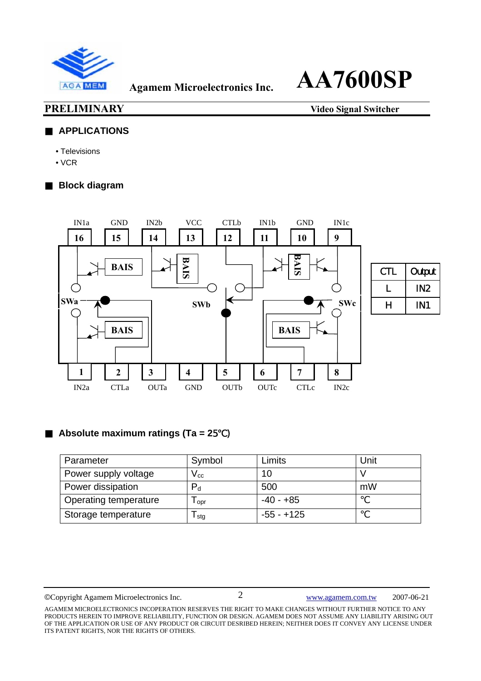

**PRELIMINARY** Video Signal Switcher

#### ■ **APPLICATIONS**

- Televisions
- VCR

### **Block diagram**



### **Absolute maximum ratings (Ta = 2**5℃)

| Parameter             | Symbol                     | Limits       | Unit |
|-----------------------|----------------------------|--------------|------|
| Power supply voltage  | $\mathsf{V}_{\mathsf{cc}}$ | 10           |      |
| Power dissipation     | $P_{d}$                    | 500          | mW   |
| Operating temperature | l opr                      | $-40 - +85$  |      |
| Storage temperature   | l sta                      | $-55 - +125$ |      |

©Copyright Agamem Microelectronics Inc. www.agamem.com.tw 2007-06-21

AGAMEM MICROELECTRONICS INCOPERATION RESERVES THE RIGHT TO MAKE CHANGES WITHOUT FURTHER NOTICE TO ANY PRODUCTS HEREIN TO IMPROVE RELIABILITY, FUNCTION OR DESIGN. AGAMEM DOES NOT ASSUME ANY LIABILITY ARISING OUT OF THE APPLICATION OR USE OF ANY PRODUCT OR CIRCUIT DESRIBED HEREIN; NEITHER DOES IT CONVEY ANY LICENSE UNDER ITS PATENT RIGHTS, NOR THE RIGHTS OF OTHERS.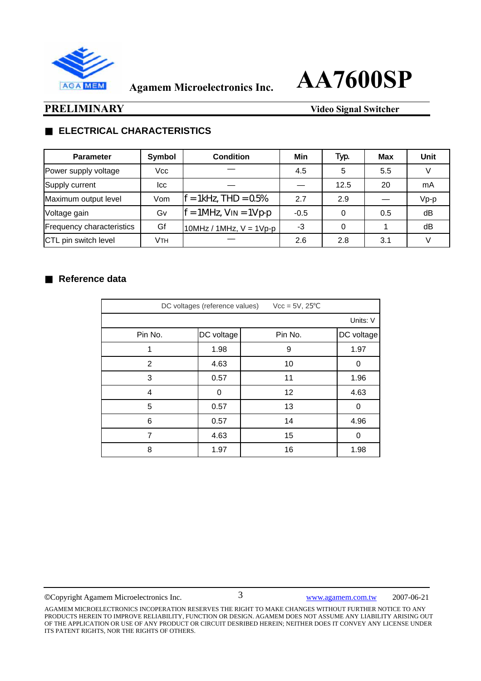

#### **PRELIMINARY** Video Signal Switcher

### **ELECTRICAL CHARACTERISTICS**

| <b>Parameter</b>          | Symbol | <b>Condition</b>             | Min    | Typ  | Max | Unit   |
|---------------------------|--------|------------------------------|--------|------|-----|--------|
| Power supply voltage      | Vcc    |                              | 4.5    | 5    | 5.5 |        |
| Supply current            | lcc    |                              |        | 12.5 | 20  | mA     |
| Maximum output level      | Vom    | $=$ 1kHz, THD = $05\%$       | 2.7    | 2.9  |     | $Vp-p$ |
| Voltage gain              | Gv     | $f = 1MHz$ , $V_{IN} = 1Vpp$ | $-0.5$ |      | 0.5 | dB     |
| Frequency characteristics | Gf     | $10MHz / 1MHz, V = 1Vp-p$    | -3     | 0    |     | dB     |
| CTL pin switch level      | Vтн    |                              | 2.6    | 2.8  | 3.1 |        |

#### **Reference data**

| DC voltages (reference values)<br>$Vec = 5V, 25$ |            |         |            |  |  |  |  |
|--------------------------------------------------|------------|---------|------------|--|--|--|--|
|                                                  | Units: V   |         |            |  |  |  |  |
| Pin No.                                          | DC voltage | Pin No. | DC voltage |  |  |  |  |
| 1                                                | 1.98       | 9       | 1.97       |  |  |  |  |
| 2                                                | 4.63       | 10      | 0          |  |  |  |  |
| 3                                                | 0.57       | 11      | 1.96       |  |  |  |  |
| 4                                                | 0          | 12      | 4.63       |  |  |  |  |
| 5                                                | 0.57       | 13      | 0          |  |  |  |  |
| 6                                                | 0.57       | 14      | 4.96       |  |  |  |  |
| 7                                                | 4.63       | 15      | 0          |  |  |  |  |
| 8                                                | 1.97       | 16      | 1.98       |  |  |  |  |

©Copyright Agamem Microelectronics Inc. www.agamem.com.tw 2007-06-21

AGAMEM MICROELECTRONICS INCOPERATION RESERVES THE RIGHT TO MAKE CHANGES WITHOUT FURTHER NOTICE TO ANY PRODUCTS HEREIN TO IMPROVE RELIABILITY, FUNCTION OR DESIGN. AGAMEM DOES NOT ASSUME ANY LIABILITY ARISING OUT OF THE APPLICATION OR USE OF ANY PRODUCT OR CIRCUIT DESRIBED HEREIN; NEITHER DOES IT CONVEY ANY LICENSE UNDER ITS PATENT RIGHTS, NOR THE RIGHTS OF OTHERS.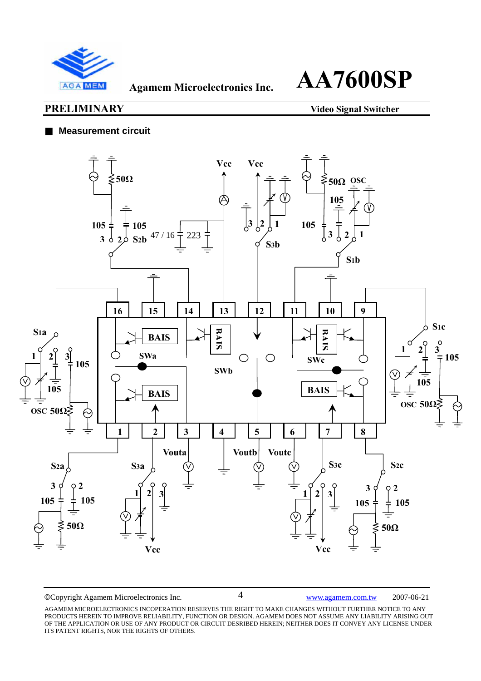

#### **PRELIMINARY** Video Signal Switcher

#### **Measurement circuit**



©Copyright Agamem Microelectronics Inc. www.agamem.com.tw 2007-06-21

AGAMEM MICROELECTRONICS INCOPERATION RESERVES THE RIGHT TO MAKE CHANGES WITHOUT FURTHER NOTICE TO ANY PRODUCTS HEREIN TO IMPROVE RELIABILITY, FUNCTION OR DESIGN. AGAMEM DOES NOT ASSUME ANY LIABILITY ARISING OUT OF THE APPLICATION OR USE OF ANY PRODUCT OR CIRCUIT DESRIBED HEREIN; NEITHER DOES IT CONVEY ANY LICENSE UNDER ITS PATENT RIGHTS, NOR THE RIGHTS OF OTHERS.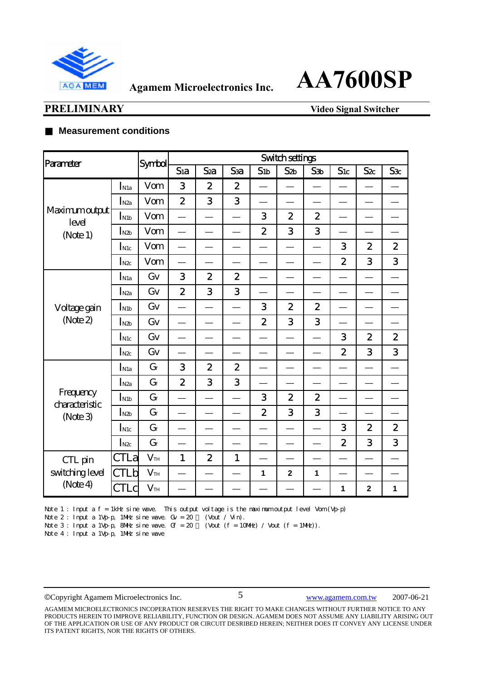

### **PRELIMINARY** Video Signal Switcher

#### **Measurement conditions**

| Parameter                                 |                             | Symbol          | <b>Switch settings</b> |                  |                  |                  |                  |                  |                  |                         |                  |
|-------------------------------------------|-----------------------------|-----------------|------------------------|------------------|------------------|------------------|------------------|------------------|------------------|-------------------------|------------------|
|                                           |                             |                 | Sia                    | Sza              | Ssa              | S <sub>1b</sub>  | Szb              | Sэb              | S1c              | $S_{2c}$                | S <sub>3</sub> c |
|                                           | $\mathbf{I}_{\mathrm{N1a}}$ | Vom             | 3                      | $\boldsymbol{2}$ | $\boldsymbol{2}$ |                  |                  |                  |                  |                         |                  |
|                                           | $I_{N2a}$                   | Vom             | $\boldsymbol{2}$       | 3                | 3                |                  |                  |                  |                  |                         |                  |
| Maximumoutput<br>level                    | I <sub>N1b</sub>            | Vom             |                        |                  |                  | 3                | $\overline{2}$   | $\boldsymbol{2}$ |                  |                         |                  |
| (Note 1)                                  | $I_{N2b}$                   | Vom             |                        |                  |                  | $\overline{2}$   | 3                | 3                |                  |                         |                  |
|                                           | $I_{\rm{N1c}}$              | Vom             |                        |                  |                  |                  |                  |                  | 3                | $\boldsymbol{2}$        | $\boldsymbol{2}$ |
|                                           | $I_{\text{N2c}}$            | Vom             |                        |                  |                  |                  |                  |                  | $\overline{2}$   | 3                       | 3                |
|                                           | $I_{\rm N1a}$               | Gv              | 3                      | $\boldsymbol{2}$ | $\boldsymbol{2}$ |                  |                  |                  |                  |                         |                  |
|                                           | $I_{N2a}$                   | Gv              | $\boldsymbol{2}$       | 3                | 3                |                  |                  |                  |                  |                         |                  |
| Voltage gain                              | $I_{N1b}$                   | Gv              |                        |                  |                  | 3                | $\overline{2}$   | $\boldsymbol{2}$ |                  |                         |                  |
| (Note $2$ )                               | $I_{\text{N2b}}$            | Gv              |                        |                  |                  | $\overline{2}$   | 3                | 3                |                  |                         |                  |
|                                           | $I_{\rm{N1c}}$              | Gv              |                        |                  |                  |                  |                  |                  | 3                | $\boldsymbol{2}$        | $\boldsymbol{2}$ |
|                                           | $I_{\rm N2c}$               | Gv              |                        |                  |                  |                  |                  |                  | $\boldsymbol{2}$ | 3                       | 3                |
|                                           | $I_{\rm N1a}$               | $G_f$           | 3                      | $\boldsymbol{2}$ | $\boldsymbol{2}$ |                  |                  |                  |                  |                         |                  |
|                                           | $I_{N2a}$                   | $G_f$           | $\mathbf{z}$           | 3                | 3                |                  |                  |                  |                  |                         |                  |
| Frequency<br>daracteristic                | $I_{N1b}$                   | $G_f$           |                        |                  |                  | 3                | $\boldsymbol{2}$ | $\boldsymbol{2}$ |                  |                         |                  |
| (Note 3)                                  | $I_{N2b}$                   | $G_f$           |                        |                  |                  | $\boldsymbol{2}$ | 3                | 3                |                  |                         |                  |
|                                           | $I_{\rm{N1c}}$              | $G_f$           |                        |                  |                  |                  |                  |                  | 3                | $\boldsymbol{2}$        | $\boldsymbol{2}$ |
|                                           | $I_{N2c}$                   | $G_f$           |                        |                  |                  |                  |                  |                  | $\boldsymbol{2}$ | 3                       | 3                |
| CTL pin<br>switching level<br>(Note $4$ ) | CTLa                        | V <sub>TH</sub> | $\mathbf{1}$           | $\boldsymbol{2}$ | $\mathbf{1}$     |                  |                  |                  |                  |                         |                  |
|                                           | <b>CTLb</b>                 | V <sub>TH</sub> |                        |                  |                  | 1                | $\mathbf{2}$     | 1                |                  |                         |                  |
|                                           | <b>CTLc</b>                 | V <sub>TH</sub> |                        |                  |                  |                  |                  |                  | $\mathbf{1}$     | $\overline{\mathbf{2}}$ | $\mathbf{1}$     |

Note 1 : Input a f = 1kHz sine wave. This output voltage is the maximum output level Vom  $(Vp-p)$ 

Note 2 : Input a 1 Vp p, 1 NHz sine wave.  $Gv = 20$  (Vout / Vin).

Note 3: Input a 1Vp p, 8NHz sine wave.  $G = 20$  (Vout  $(f = 10$ NHz) / Vout  $(f = 1)$ Hz).

Note 4 : Input a 1Vp p, 1NHz sine wave

©Copyright Agamem Microelectronics Inc. www.agamem.com.tw 2007-06-21

AGAMEM MICROELECTRONICS INCOPERATION RESERVES THE RIGHT TO MAKE CHANGES WITHOUT FURTHER NOTICE TO ANY PRODUCTS HEREIN TO IMPROVE RELIABILITY, FUNCTION OR DESIGN. AGAMEM DOES NOT ASSUME ANY LIABILITY ARISING OUT OF THE APPLICATION OR USE OF ANY PRODUCT OR CIRCUIT DESRIBED HEREIN; NEITHER DOES IT CONVEY ANY LICENSE UNDER ITS PATENT RIGHTS, NOR THE RIGHTS OF OTHERS.